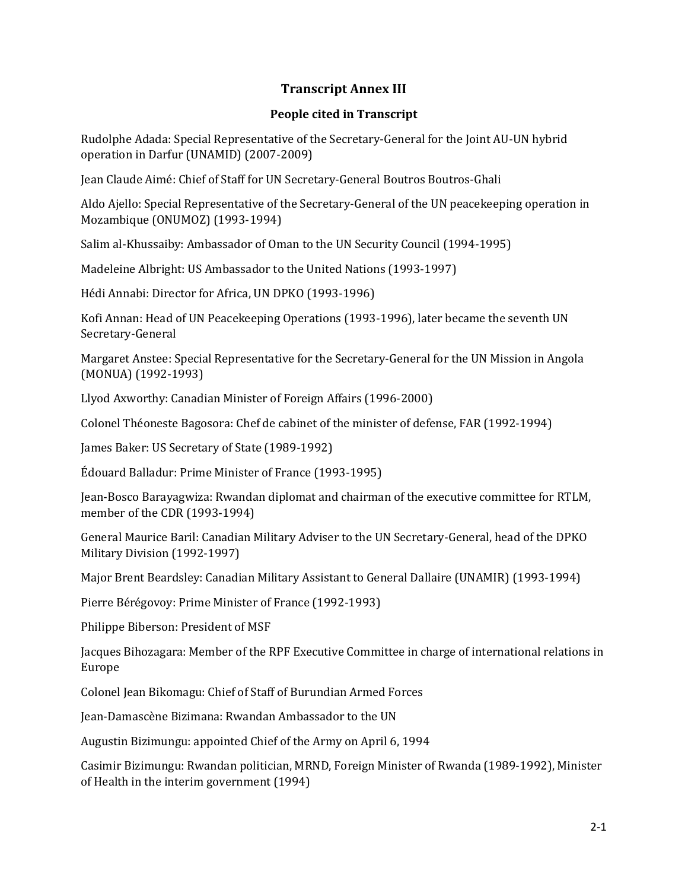## **Transcript Annex III**

## **People cited in Transcript**

Rudolphe Adada: Special Representative of the Secretary-General for the Joint AU-UN hybrid operation in Darfur (UNAMID) (2007-2009)

Jean Claude Aimé: Chief of Staff for UN Secretary-General Boutros Boutros-Ghali

Aldo Ajello: Special Representative of the Secretary-General of the UN peacekeeping operation in Mozambique (ONUMOZ) (1993-1994)

Salim al-Khussaiby: Ambassador of Oman to the UN Security Council (1994-1995)

Madeleine Albright: US Ambassador to the United Nations (1993-1997)

Hédi Annabi: Director for Africa, UN DPKO (1993-1996)

Kofi Annan: Head of UN Peacekeeping Operations (1993-1996), later became the seventh UN Secretary-General

Margaret Anstee: Special Representative for the Secretary-General for the UN Mission in Angola (MONUA) (1992-1993)

Llyod Axworthy: Canadian Minister of Foreign Affairs (1996-2000)

Colonel Théoneste Bagosora: Chef de cabinet of the minister of defense, FAR (1992-1994)

James Baker: US Secretary of State (1989-1992)

Édouard Balladur: Prime Minister of France (1993-1995)

Jean-Bosco Barayagwiza: Rwandan diplomat and chairman of the executive committee for RTLM, member of the CDR (1993-1994)

General Maurice Baril: Canadian Military Adviser to the UN Secretary-General, head of the DPKO Military Division (1992-1997)

Major Brent Beardsley: Canadian Military Assistant to General Dallaire (UNAMIR) (1993-1994)

Pierre Bérégovoy: Prime Minister of France (1992-1993)

Philippe Biberson: President of MSF

Jacques Bihozagara: Member of the RPF Executive Committee in charge of international relations in Europe

Colonel Jean Bikomagu: Chief of Staff of Burundian Armed Forces

Jean-Damascène Bizimana: Rwandan Ambassador to the UN

Augustin Bizimungu: appointed Chief of the Army on April 6, 1994

Casimir Bizimungu: Rwandan politician, MRND, Foreign Minister of Rwanda (1989-1992), Minister of Health in the interim government (1994)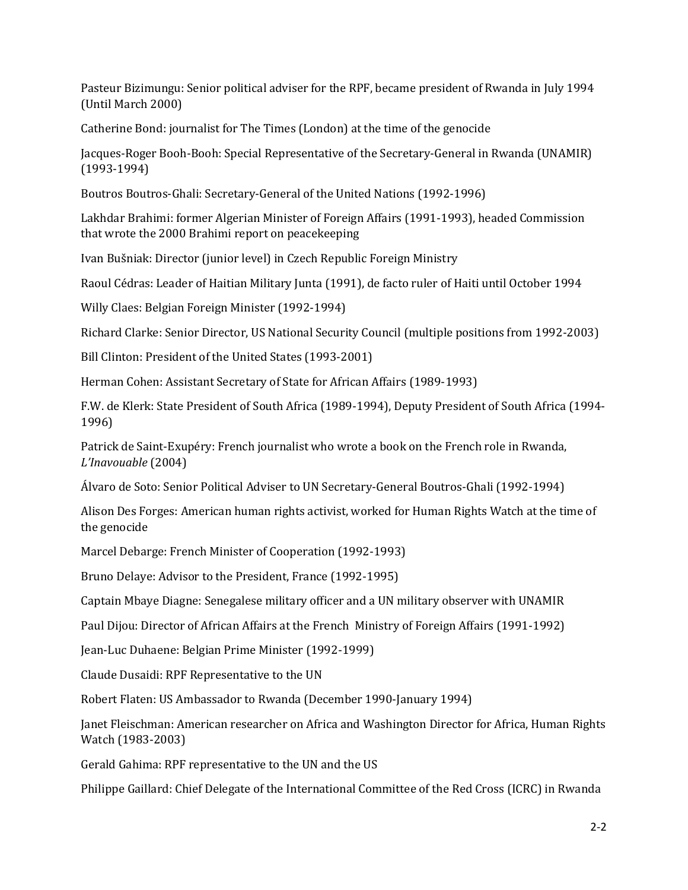Pasteur Bizimungu: Senior political adviser for the RPF, became president of Rwanda in July 1994 (Until March 2000)

Catherine Bond: journalist for The Times (London) at the time of the genocide

Jacques-Roger Booh-Booh: Special Representative of the Secretary-General in Rwanda (UNAMIR) (1993-1994)

Boutros Boutros-Ghali: Secretary-General of the United Nations (1992-1996)

Lakhdar Brahimi: former Algerian Minister of Foreign Affairs (1991-1993), headed Commission that wrote the 2000 Brahimi report on peacekeeping

Ivan Bušniak: Director (junior level) in Czech Republic Foreign Ministry

Raoul Cédras: Leader of Haitian Military Junta (1991), de facto ruler of Haiti until October 1994

Willy Claes: Belgian Foreign Minister (1992-1994)

Richard Clarke: Senior Director, US National Security Council (multiple positions from 1992-2003)

Bill Clinton: President of the United States (1993-2001)

Herman Cohen: Assistant Secretary of State for African Affairs (1989-1993)

F.W. de Klerk: State President of South Africa (1989-1994), Deputy President of South Africa (1994- 1996)

Patrick de Saint-Exupéry: French journalist who wrote a book on the French role in Rwanda, *L'Inavouable* (2004)

Álvaro de Soto: Senior Political Adviser to UN Secretary-General Boutros-Ghali (1992-1994)

Alison Des Forges: American human rights activist, worked for Human Rights Watch at the time of the genocide

Marcel Debarge: French Minister of Cooperation (1992-1993)

Bruno Delaye: Advisor to the President, France (1992-1995)

Captain Mbaye Diagne: Senegalese military officer and a UN military observer with UNAMIR

Paul Dijou: Director of African Affairs at the French Ministry of Foreign Affairs (1991-1992)

Jean-Luc Duhaene: Belgian Prime Minister (1992-1999)

Claude Dusaidi: RPF Representative to the UN

Robert Flaten: US Ambassador to Rwanda (December 1990-January 1994)

Janet Fleischman: American researcher on Africa and Washington Director for Africa, Human Rights Watch (1983-2003)

Gerald Gahima: RPF representative to the UN and the US

Philippe Gaillard: Chief Delegate of the International Committee of the Red Cross (ICRC) in Rwanda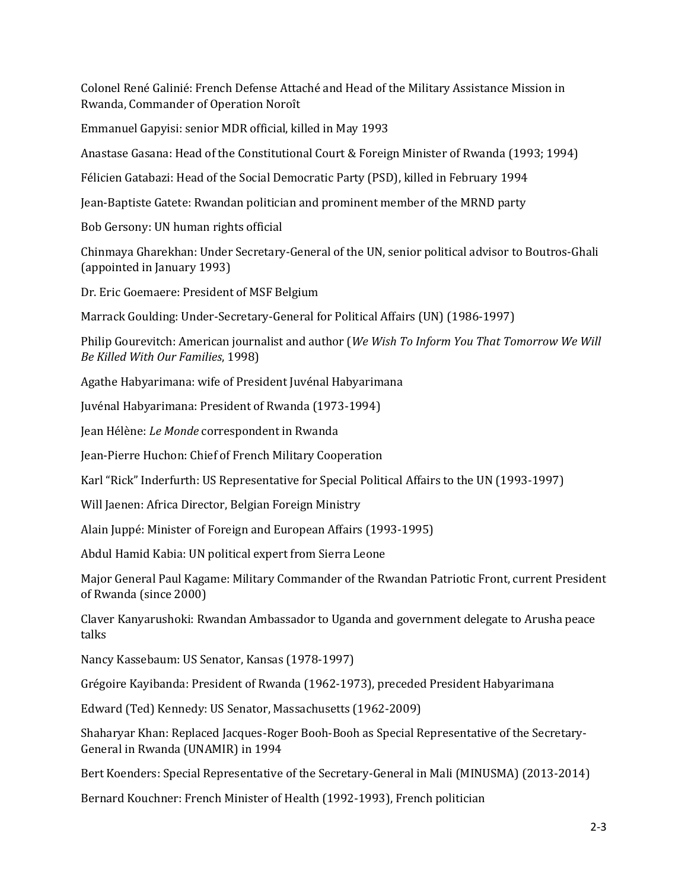Colonel René Galinié: French Defense Attaché and Head of the Military Assistance Mission in Rwanda, Commander of Operation Noroît

Emmanuel Gapyisi: senior MDR official, killed in May 1993

Anastase Gasana: Head of the Constitutional Court & Foreign Minister of Rwanda (1993; 1994)

Félicien Gatabazi: Head of the Social Democratic Party (PSD), killed in February 1994

Jean-Baptiste Gatete: Rwandan politician and prominent member of the MRND party

Bob Gersony: UN human rights official

Chinmaya Gharekhan: Under Secretary-General of the UN, senior political advisor to Boutros-Ghali (appointed in January 1993)

Dr. Eric Goemaere: President of MSF Belgium

Marrack Goulding: Under-Secretary-General for Political Affairs (UN) (1986-1997)

Philip Gourevitch: American journalist and author (*We Wish To Inform You That Tomorrow We Will Be Killed With Our Families*, 1998)

Agathe Habyarimana: wife of President Juvénal Habyarimana

Juvénal Habyarimana: President of Rwanda (1973-1994)

Jean Hélène: *Le Monde* correspondent in Rwanda

Jean-Pierre Huchon: Chief of French Military Cooperation

Karl "Rick" Inderfurth: US Representative for Special Political Affairs to the UN (1993-1997)

Will Jaenen: Africa Director, Belgian Foreign Ministry

Alain Juppé: Minister of Foreign and European Affairs (1993-1995)

Abdul Hamid Kabia: UN political expert from Sierra Leone

Major General Paul Kagame: Military Commander of the Rwandan Patriotic Front, current President of Rwanda (since 2000)

Claver Kanyarushoki: Rwandan Ambassador to Uganda and government delegate to Arusha peace talks

Nancy Kassebaum: US Senator, Kansas (1978-1997)

Grégoire Kayibanda: President of Rwanda (1962-1973), preceded President Habyarimana

Edward (Ted) Kennedy: US Senator, Massachusetts (1962-2009)

Shaharyar Khan: Replaced Jacques-Roger Booh-Booh as Special Representative of the Secretary-General in Rwanda (UNAMIR) in 1994

Bert Koenders: Special Representative of the Secretary-General in Mali (MINUSMA) (2013-2014)

Bernard Kouchner: French Minister of Health (1992-1993), French politician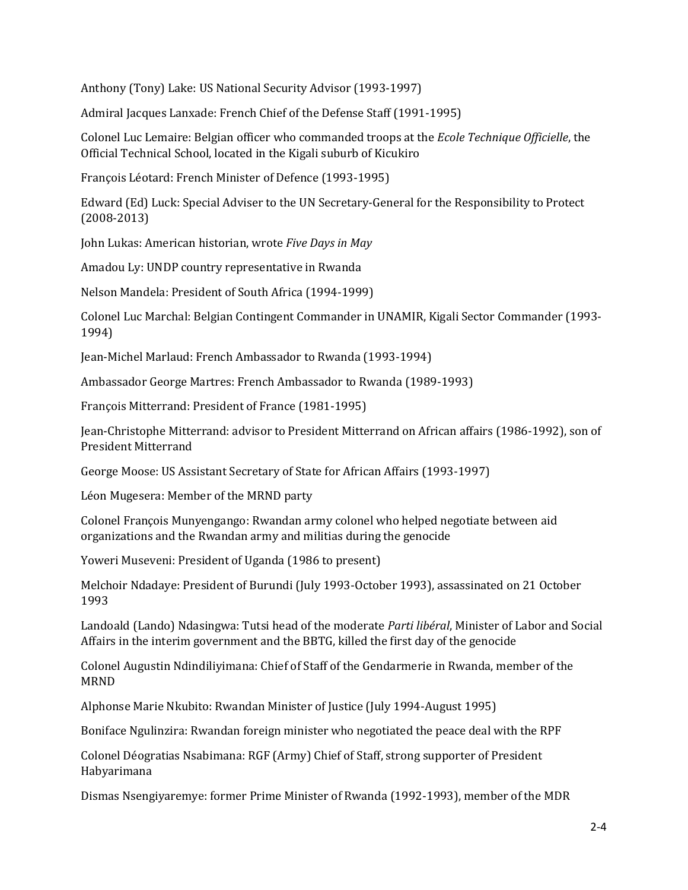Anthony (Tony) Lake: US National Security Advisor (1993-1997)

Admiral Jacques Lanxade: French Chief of the Defense Staff (1991-1995)

Colonel Luc Lemaire: Belgian officer who commanded troops at the *Ecole Technique Officielle*, the Official Technical School, located in the Kigali suburb of Kicukiro

François Léotard: French Minister of Defence (1993-1995)

Edward (Ed) Luck: Special Adviser to the UN Secretary-General for the Responsibility to Protect (2008-2013)

John Lukas: American historian, wrote *Five Days in May*

Amadou Ly: UNDP country representative in Rwanda

Nelson Mandela: President of South Africa (1994-1999)

Colonel Luc Marchal: Belgian Contingent Commander in UNAMIR, Kigali Sector Commander (1993- 1994)

Jean-Michel Marlaud: French Ambassador to Rwanda (1993-1994)

Ambassador George Martres: French Ambassador to Rwanda (1989-1993)

François Mitterrand: President of France (1981-1995)

Jean-Christophe Mitterrand: advisor to President Mitterrand on African affairs (1986-1992), son of President Mitterrand

George Moose: US Assistant Secretary of State for African Affairs (1993-1997)

Léon Mugesera: Member of the MRND party

Colonel François Munyengango: Rwandan army colonel who helped negotiate between aid organizations and the Rwandan army and militias during the genocide

Yoweri Museveni: President of Uganda (1986 to present)

Melchoir Ndadaye: President of Burundi (July 1993-October 1993), assassinated on 21 October 1993

Landoald (Lando) Ndasingwa: Tutsi head of the moderate *Parti libéral*, Minister of Labor and Social Affairs in the interim government and the BBTG, killed the first day of the genocide

Colonel Augustin Ndindiliyimana: Chief of Staff of the Gendarmerie in Rwanda, member of the MRND

Alphonse Marie Nkubito: Rwandan Minister of Justice (July 1994-August 1995)

Boniface Ngulinzira: Rwandan foreign minister who negotiated the peace deal with the RPF

Colonel Déogratias Nsabimana: RGF (Army) Chief of Staff, strong supporter of President Habyarimana

Dismas Nsengiyaremye: former Prime Minister of Rwanda (1992-1993), member of the MDR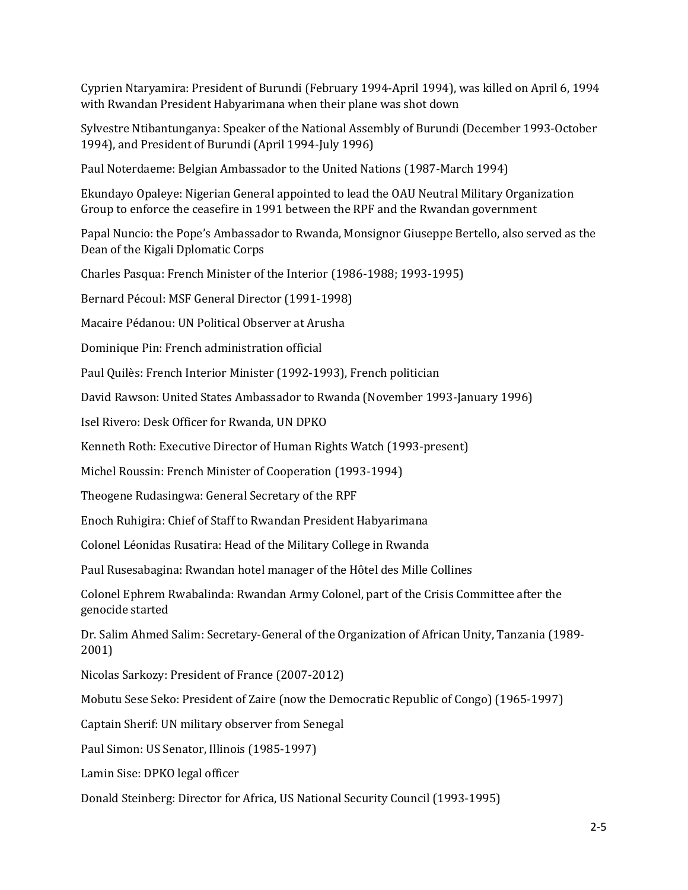Cyprien Ntaryamira: President of Burundi (February 1994-April 1994), was killed on April 6, 1994 with Rwandan President Habyarimana when their plane was shot down

Sylvestre Ntibantunganya: Speaker of the National Assembly of Burundi (December 1993-October 1994), and President of Burundi (April 1994-July 1996)

Paul Noterdaeme: Belgian Ambassador to the United Nations (1987-March 1994)

Ekundayo Opaleye: Nigerian General appointed to lead the OAU Neutral Military Organization Group to enforce the ceasefire in 1991 between the RPF and the Rwandan government

Papal Nuncio: the Pope's Ambassador to Rwanda, Monsignor Giuseppe Bertello, also served as the Dean of the Kigali Dplomatic Corps

Charles Pasqua: French Minister of the Interior (1986-1988; 1993-1995)

Bernard Pécoul: MSF General Director (1991-1998)

Macaire Pédanou: UN Political Observer at Arusha

Dominique Pin: French administration official

Paul Quilès: French Interior Minister (1992-1993), French politician

David Rawson: United States Ambassador to Rwanda (November 1993-January 1996)

Isel Rivero: Desk Officer for Rwanda, UN DPKO

Kenneth Roth: Executive Director of Human Rights Watch (1993-present)

Michel Roussin: French Minister of Cooperation (1993-1994)

Theogene Rudasingwa: General Secretary of the RPF

Enoch Ruhigira: Chief of Staff to Rwandan President Habyarimana

Colonel Léonidas Rusatira: Head of the Military College in Rwanda

Paul Rusesabagina: Rwandan hotel manager of the Hôtel des Mille Collines

Colonel Ephrem Rwabalinda: Rwandan Army Colonel, part of the Crisis Committee after the genocide started

Dr. Salim Ahmed Salim: Secretary-General of the Organization of African Unity, Tanzania (1989- 2001)

Nicolas Sarkozy: President of France (2007-2012)

Mobutu Sese Seko: President of Zaire (now the Democratic Republic of Congo) (1965-1997)

Captain Sherif: UN military observer from Senegal

Paul Simon: US Senator, Illinois (1985-1997)

Lamin Sise: DPKO legal officer

Donald Steinberg: Director for Africa, US National Security Council (1993-1995)